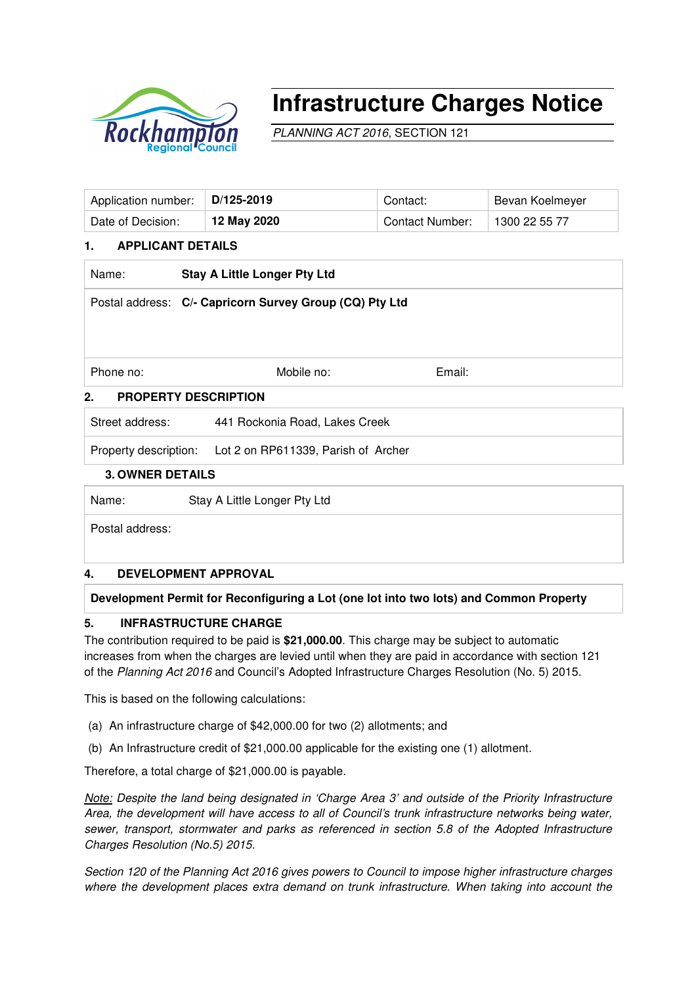

# **Infrastructure Charges Notice**

PLANNING ACT 2016, SECTION 121

| Application number: | D/125-2019  | Contact:               | Bevan Koelmeyer |
|---------------------|-------------|------------------------|-----------------|
| Date of Decision:   | 12 May 2020 | <b>Contact Number:</b> | 1300 22 55 77   |

# **1. APPLICANT DETAILS**

| Name:                                                   | <b>Stay A Little Longer Pty Ltd</b> |        |  |  |  |
|---------------------------------------------------------|-------------------------------------|--------|--|--|--|
| Postal address: C/- Capricorn Survey Group (CQ) Pty Ltd |                                     |        |  |  |  |
|                                                         |                                     |        |  |  |  |
| Phone no:                                               | Mobile no:                          | Email: |  |  |  |
| 2.<br><b>PROPERTY DESCRIPTION</b>                       |                                     |        |  |  |  |
| Street address:                                         | 441 Rockonia Road, Lakes Creek      |        |  |  |  |
| Property description:                                   | Lot 2 on RP611339, Parish of Archer |        |  |  |  |
| <b>3. OWNER DETAILS</b>                                 |                                     |        |  |  |  |

Name: Stay A Little Longer Pty Ltd

Postal address:

## **4. DEVELOPMENT APPROVAL**

## **Development Permit for Reconfiguring a Lot (one lot into two lots) and Common Property**

## **5. INFRASTRUCTURE CHARGE**

The contribution required to be paid is **\$21,000.00**. This charge may be subject to automatic increases from when the charges are levied until when they are paid in accordance with section 121 of the Planning Act 2016 and Council's Adopted Infrastructure Charges Resolution (No. 5) 2015.

This is based on the following calculations:

- (a) An infrastructure charge of \$42,000.00 for two (2) allotments; and
- (b) An Infrastructure credit of \$21,000.00 applicable for the existing one (1) allotment.

Therefore, a total charge of \$21,000.00 is payable.

Note: Despite the land being designated in 'Charge Area 3' and outside of the Priority Infrastructure Area, the development will have access to all of Council's trunk infrastructure networks being water, sewer, transport, stormwater and parks as referenced in section 5.8 of the Adopted Infrastructure Charges Resolution (No.5) 2015.

Section 120 of the Planning Act 2016 gives powers to Council to impose higher infrastructure charges where the development places extra demand on trunk infrastructure. When taking into account the